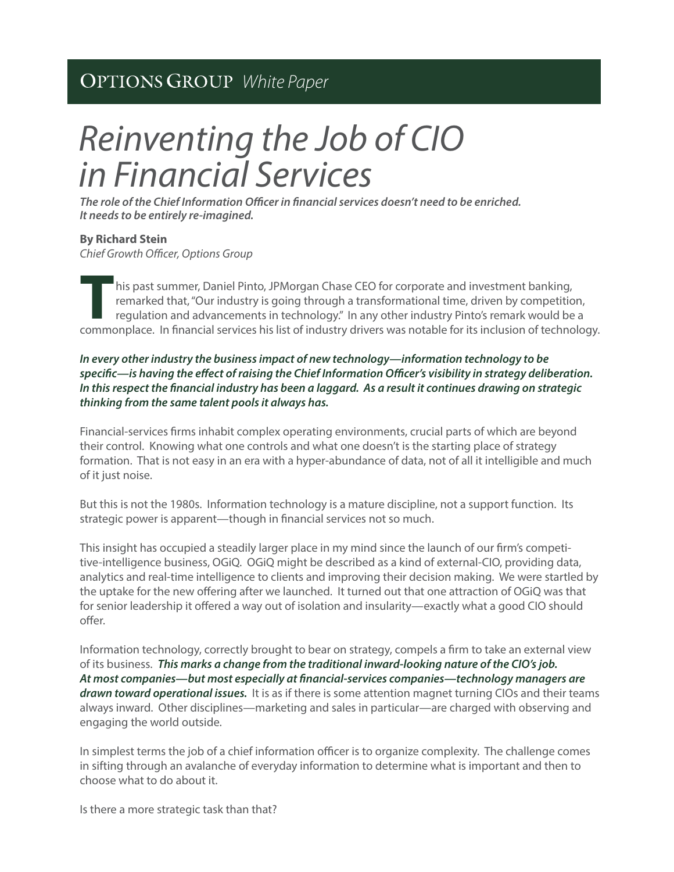# *White Paper*

# *Reinventing the Job of CIO in Financial Services*

The role of the Chief Information Officer in financial services doesn't need to be enriched. *It needs to be entirely re-imagined.*

# **By Richard Stein**

**Chief Growth Officer, Options Group** 

 his past summer, Daniel Pinto, JPMorgan Chase CEO for corporate and investment banking, remarked that, "Our industry is going through a transformational time, driven by competition, regulation and advancements in technology." In any other industry Pinto's remark would be a **Example 19 and 19 and 19 and 19 and 19 and 19 and 19 and 19 and 19 and 19 and 19 and 19 and 19 and 19 and 19 and 19 and 19 and 19 and 19 and 19 and 19 and 19 and 19 and 19 and 19 and 19 and 19 and 19 and 19 and 19 and 19** 

# *In every other industry the business impact of new technology—information technology to be*  specific—is having the effect of raising the Chief Information Officer's visibility in strategy deliberation. In this respect the financial industry has been a laggard. As a result it continues drawing on strategic *thinking from the same talent pools it always has.*

Financial-services firms inhabit complex operating environments, crucial parts of which are beyond their control. Knowing what one controls and what one doesn't is the starting place of strategy formation. That is not easy in an era with a hyper-abundance of data, not of all it intelligible and much of it just noise.

But this is not the 1980s. Information technology is a mature discipline, not a support function. Its strategic power is apparent—though in financial services not so much.

This insight has occupied a steadily larger place in my mind since the launch of our firm's competitive-intelligence business, OGiQ. OGiQ might be described as a kind of external-CIO, providing data, analytics and real-time intelligence to clients and improving their decision making. We were startled by the uptake for the new offering after we launched. It turned out that one attraction of OGiQ was that for senior leadership it offered a way out of isolation and insularity—exactly what a good CIO should offer.

Information technology, correctly brought to bear on strategy, compels a firm to take an external view of its business. *This marks a change from the traditional inward-looking nature of the CIO's job. At most companies—but most especially at nancial-services companies—technology managers are drawn toward operational issues.* It is as if there is some attention magnet turning CIOs and their teams always inward. Other disciplines—marketing and sales in particular—are charged with observing and engaging the world outside.

In simplest terms the job of a chief information officer is to organize complexity. The challenge comes in sifting through an avalanche of everyday information to determine what is important and then to choose what to do about it.

Is there a more strategic task than that?